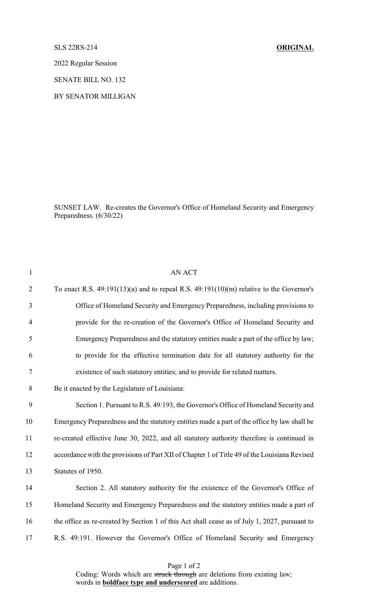## SLS 22RS-214 **ORIGINAL**

2022 Regular Session

SENATE BILL NO. 132

BY SENATOR MILLIGAN

SUNSET LAW. Re-creates the Governor's Office of Homeland Security and Emergency Preparedness. (6/30/22)

| $\mathbf{1}$   | <b>AN ACT</b>                                                                                 |
|----------------|-----------------------------------------------------------------------------------------------|
| $\overline{2}$ | To enact R.S. $49:191(13)(a)$ and to repeal R.S. $49:191(10)(m)$ relative to the Governor's   |
| $\overline{3}$ | Office of Homeland Security and Emergency Preparedness, including provisions to               |
| $\overline{4}$ | provide for the re-creation of the Governor's Office of Homeland Security and                 |
| 5              | Emergency Preparedness and the statutory entities made a part of the office by law;           |
| 6              | to provide for the effective termination date for all statutory authority for the             |
| 7              | existence of such statutory entities; and to provide for related matters.                     |
| 8              | Be it enacted by the Legislature of Louisiana:                                                |
| 9              | Section 1. Pursuant to R.S. 49:193, the Governor's Office of Homeland Security and            |
| 10             | Emergency Preparedness and the statutory entities made a part of the office by law shall be   |
| 11             | re-created effective June 30, 2022, and all statutory authority therefore is continued in     |
| 12             | accordance with the provisions of Part XII of Chapter 1 of Title 49 of the Louisiana Revised  |
| 13             | Statutes of 1950.                                                                             |
| 14             | Section 2. All statutory authority for the existence of the Governor's Office of              |
| 15             | Homeland Security and Emergency Preparedness and the statutory entities made a part of        |
| 16             | the office as re-created by Section 1 of this Act shall cease as of July 1, 2027, pursuant to |
| 17             | R.S. 49:191. However the Governor's Office of Homeland Security and Emergency                 |
|                |                                                                                               |

Page 1 of 2

Coding: Words which are struck through are deletions from existing law; words in **boldface type and underscored** are additions.